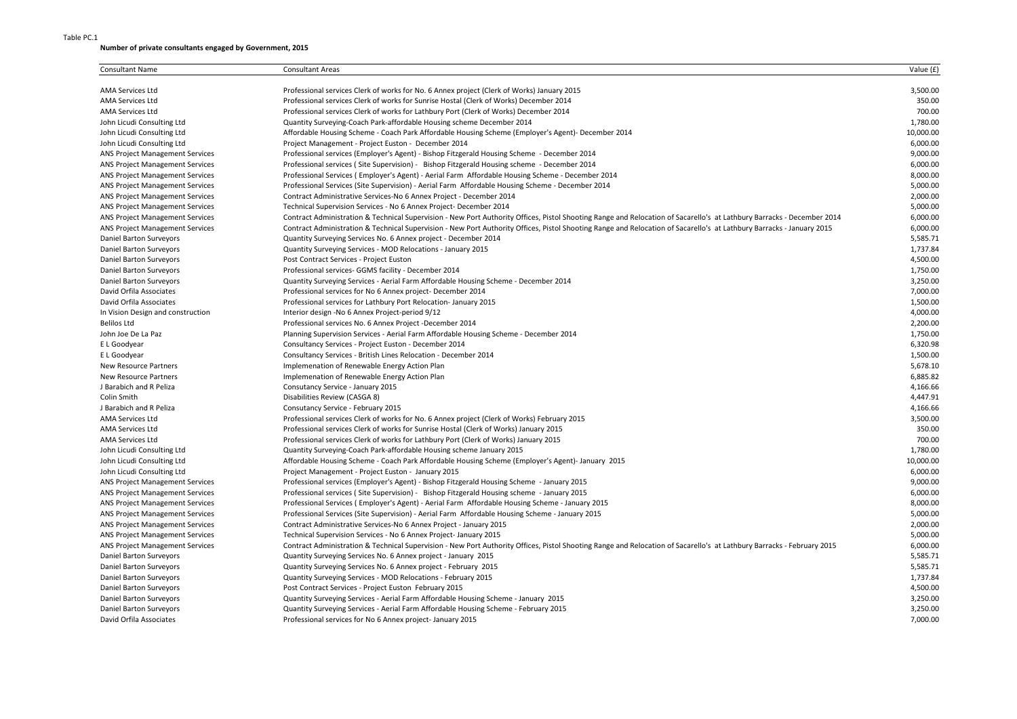## Table PC.1

## **Number of private consultants engaged by Government, 2015**

| <b>Consultant Name</b>                 | <b>Consultant Areas</b>                                                                                                                                                | Value (£) |
|----------------------------------------|------------------------------------------------------------------------------------------------------------------------------------------------------------------------|-----------|
| <b>AMA Services Ltd</b>                | Professional services Clerk of works for No. 6 Annex project (Clerk of Works) January 2015                                                                             | 3,500.00  |
| <b>AMA Services Ltd</b>                | Professional services Clerk of works for Sunrise Hostal (Clerk of Works) December 2014                                                                                 | 350.00    |
| <b>AMA Services Ltd</b>                | Professional services Clerk of works for Lathbury Port (Clerk of Works) December 2014                                                                                  | 700.00    |
| John Licudi Consulting Ltd             | Quantity Surveying-Coach Park-affordable Housing scheme December 2014                                                                                                  | 1,780.00  |
| John Licudi Consulting Ltd             | Affordable Housing Scheme - Coach Park Affordable Housing Scheme (Employer's Agent)- December 2014                                                                     | 10,000.00 |
| John Licudi Consulting Ltd             | Project Management - Project Euston - December 2014                                                                                                                    | 6,000.00  |
| ANS Project Management Services        | Professional services (Employer's Agent) - Bishop Fitzgerald Housing Scheme - December 2014                                                                            | 9,000.00  |
| <b>ANS Project Management Services</b> | Professional services (Site Supervision) - Bishop Fitzgerald Housing scheme - December 2014                                                                            | 6,000.00  |
| ANS Project Management Services        | Professional Services (Employer's Agent) - Aerial Farm Affordable Housing Scheme - December 2014                                                                       | 8,000.00  |
| <b>ANS Project Management Services</b> | Professional Services (Site Supervision) - Aerial Farm Affordable Housing Scheme - December 2014                                                                       | 5,000.00  |
| <b>ANS Project Management Services</b> | Contract Administrative Services-No 6 Annex Project - December 2014                                                                                                    | 2,000.00  |
| <b>ANS Project Management Services</b> | Technical Supervision Services - No 6 Annex Project- December 2014                                                                                                     | 5,000.00  |
| <b>ANS Project Management Services</b> | Contract Administration & Technical Supervision - New Port Authority Offices, Pistol Shooting Range and Relocation of Sacarello's at Lathbury Barracks - December 2014 | 6,000.00  |
| ANS Project Management Services        | Contract Administration & Technical Supervision - New Port Authority Offices, Pistol Shooting Range and Relocation of Sacarello's at Lathbury Barracks - January 2015  | 6,000.00  |
| Daniel Barton Surveyors                | Quantity Surveying Services No. 6 Annex project - December 2014                                                                                                        | 5,585.71  |
| Daniel Barton Surveyors                | Quantity Surveying Services - MOD Relocations - January 2015                                                                                                           | 1,737.84  |
| Daniel Barton Surveyors                | Post Contract Services - Project Euston                                                                                                                                | 4,500.00  |
| Daniel Barton Surveyors                | Professional services- GGMS facility - December 2014                                                                                                                   | 1,750.00  |
| Daniel Barton Surveyors                | Quantity Surveying Services - Aerial Farm Affordable Housing Scheme - December 2014                                                                                    | 3,250.00  |
| David Orfila Associates                | Professional services for No 6 Annex project- December 2014                                                                                                            | 7,000.00  |
| David Orfila Associates                | Professional services for Lathbury Port Relocation- January 2015                                                                                                       | 1,500.00  |
| In Vision Design and construction      | Interior design -No 6 Annex Project-period 9/12                                                                                                                        | 4,000.00  |
| <b>Belilos Ltd</b>                     |                                                                                                                                                                        | 2,200.00  |
| John Joe De La Paz                     | Professional services No. 6 Annex Project -December 2014                                                                                                               | 1,750.00  |
| E L Goodyear                           | Planning Supervision Services - Aerial Farm Affordable Housing Scheme - December 2014                                                                                  | 6,320.98  |
|                                        | Consultancy Services - Project Euston - December 2014                                                                                                                  |           |
| E L Goodyear                           | Consultancy Services - British Lines Relocation - December 2014                                                                                                        | 1,500.00  |
| New Resource Partners                  | Implemenation of Renewable Energy Action Plan                                                                                                                          | 5,678.10  |
| <b>New Resource Partners</b>           | Implemenation of Renewable Energy Action Plan                                                                                                                          | 6,885.82  |
| J Barabich and R Peliza                | Consutancy Service - January 2015                                                                                                                                      | 4,166.66  |
| Colin Smith                            | Disabilities Review (CASGA 8)                                                                                                                                          | 4,447.91  |
| J Barabich and R Peliza                | Consutancy Service - February 2015                                                                                                                                     | 4,166.66  |
| <b>AMA Services Ltd</b>                | Professional services Clerk of works for No. 6 Annex project (Clerk of Works) February 2015                                                                            | 3,500.00  |
| <b>AMA Services Ltd</b>                | Professional services Clerk of works for Sunrise Hostal (Clerk of Works) January 2015                                                                                  | 350.00    |
| <b>AMA Services Ltd</b>                | Professional services Clerk of works for Lathbury Port (Clerk of Works) January 2015                                                                                   | 700.00    |
| John Licudi Consulting Ltd             | Quantity Surveying-Coach Park-affordable Housing scheme January 2015                                                                                                   | 1,780.00  |
| John Licudi Consulting Ltd             | Affordable Housing Scheme - Coach Park Affordable Housing Scheme (Employer's Agent)- January 2015                                                                      | 10,000.00 |
| John Licudi Consulting Ltd             | Project Management - Project Euston - January 2015                                                                                                                     | 6,000.00  |
| <b>ANS Project Management Services</b> | Professional services (Employer's Agent) - Bishop Fitzgerald Housing Scheme - January 2015                                                                             | 9,000.00  |
| <b>ANS Project Management Services</b> | Professional services (Site Supervision) - Bishop Fitzgerald Housing scheme - January 2015                                                                             | 6,000.00  |
| <b>ANS Project Management Services</b> | Professional Services (Employer's Agent) - Aerial Farm Affordable Housing Scheme - January 2015                                                                        | 8,000.00  |
| <b>ANS Project Management Services</b> | Professional Services (Site Supervision) - Aerial Farm Affordable Housing Scheme - January 2015                                                                        | 5,000.00  |
| ANS Project Management Services        | Contract Administrative Services-No 6 Annex Project - January 2015                                                                                                     | 2,000.00  |
| <b>ANS Project Management Services</b> | Technical Supervision Services - No 6 Annex Project- January 2015                                                                                                      | 5,000.00  |
| ANS Project Management Services        | Contract Administration & Technical Supervision - New Port Authority Offices, Pistol Shooting Range and Relocation of Sacarello's at Lathbury Barracks - February 2015 | 6,000.00  |
| Daniel Barton Surveyors                | Quantity Surveying Services No. 6 Annex project - January 2015                                                                                                         | 5,585.71  |
| Daniel Barton Surveyors                | Quantity Surveying Services No. 6 Annex project - February 2015                                                                                                        | 5,585.71  |
| Daniel Barton Surveyors                | Quantity Surveying Services - MOD Relocations - February 2015                                                                                                          | 1,737.84  |
| Daniel Barton Surveyors                | Post Contract Services - Project Euston February 2015                                                                                                                  | 4,500.00  |
| Daniel Barton Surveyors                | Quantity Surveying Services - Aerial Farm Affordable Housing Scheme - January 2015                                                                                     | 3,250.00  |
| Daniel Barton Surveyors                | Quantity Surveying Services - Aerial Farm Affordable Housing Scheme - February 2015                                                                                    | 3,250.00  |
| David Orfila Associates                | Professional services for No 6 Annex project-January 2015                                                                                                              | 7,000.00  |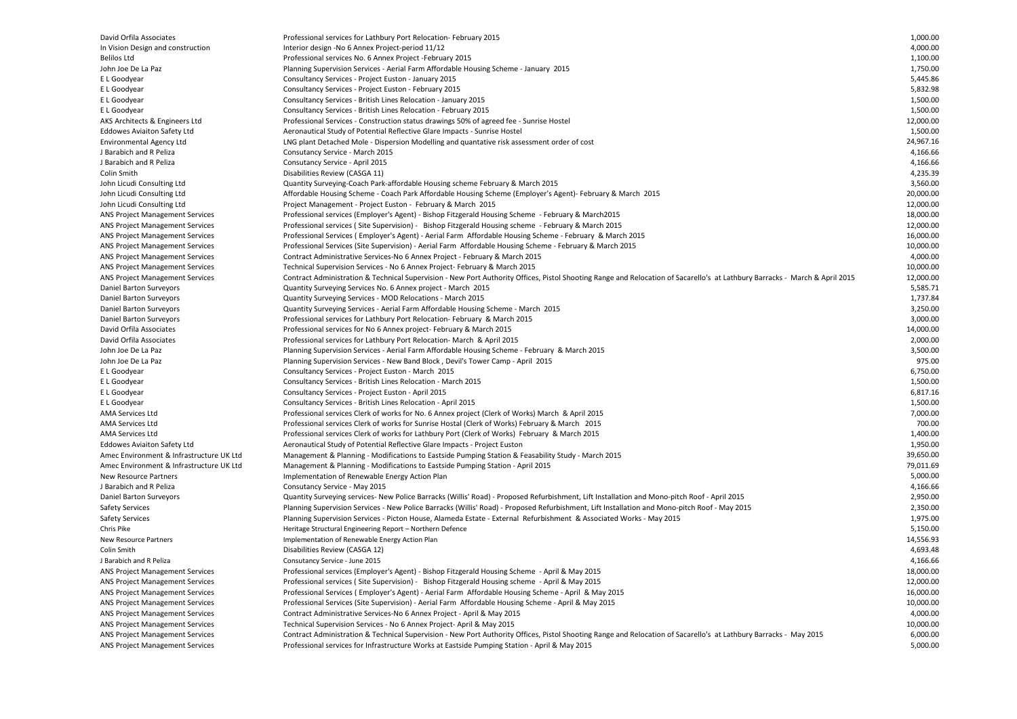| David Orfila Associates                  | Professional services for Lathbury Port Relocation- February 2015                                                                                                           | 1,000.00  |
|------------------------------------------|-----------------------------------------------------------------------------------------------------------------------------------------------------------------------------|-----------|
| In Vision Design and construction        | Interior design -No 6 Annex Project-period 11/12                                                                                                                            | 4,000.00  |
| Belilos Ltd                              | Professional services No. 6 Annex Project -February 2015                                                                                                                    | 1,100.00  |
| John Joe De La Paz                       | Planning Supervision Services - Aerial Farm Affordable Housing Scheme - January 2015                                                                                        | 1,750.00  |
| E L Goodyear                             | Consultancy Services - Project Euston - January 2015                                                                                                                        | 5,445.86  |
| E L Goodyear                             | Consultancy Services - Project Euston - February 2015                                                                                                                       | 5,832.98  |
| E L Goodyear                             | Consultancy Services - British Lines Relocation - January 2015                                                                                                              | 1,500.00  |
| E L Goodyear                             | Consultancy Services - British Lines Relocation - February 2015                                                                                                             | 1,500.00  |
| AKS Architects & Engineers Ltd           | Professional Services - Construction status drawings 50% of agreed fee - Sunrise Hostel                                                                                     | 12,000.00 |
| <b>Eddowes Aviaiton Safety Ltd</b>       | Aeronautical Study of Potential Reflective Glare Impacts - Sunrise Hostel                                                                                                   | 1,500.00  |
| Environmental Agency Ltd                 | LNG plant Detached Mole - Dispersion Modelling and quantative risk assessment order of cost                                                                                 | 24,967.16 |
| J Barabich and R Peliza                  | Consutancy Service - March 2015                                                                                                                                             | 4,166.66  |
| J Barabich and R Peliza                  | Consutancy Service - April 2015                                                                                                                                             | 4,166.66  |
| Colin Smith                              | Disabilities Review (CASGA 11)                                                                                                                                              | 4,235.39  |
| John Licudi Consulting Ltd               | Quantity Surveying-Coach Park-affordable Housing scheme February & March 2015                                                                                               | 3,560.00  |
| John Licudi Consulting Ltd               | Affordable Housing Scheme - Coach Park Affordable Housing Scheme (Employer's Agent)- February & March 2015                                                                  | 20,000.00 |
| John Licudi Consulting Ltd               | Project Management - Project Euston - February & March 2015                                                                                                                 | 12,000.00 |
| ANS Project Management Services          | Professional services (Employer's Agent) - Bishop Fitzgerald Housing Scheme - February & March2015                                                                          | 18,000.00 |
| <b>ANS Project Management Services</b>   | Professional services (Site Supervision) - Bishop Fitzgerald Housing scheme - February & March 2015                                                                         | 12,000.00 |
| <b>ANS Project Management Services</b>   | Professional Services (Employer's Agent) - Aerial Farm Affordable Housing Scheme - February & March 2015                                                                    | 16,000.00 |
| <b>ANS Project Management Services</b>   | Professional Services (Site Supervision) - Aerial Farm Affordable Housing Scheme - February & March 2015                                                                    | 10,000.00 |
| <b>ANS Project Management Services</b>   | Contract Administrative Services-No 6 Annex Project - February & March 2015                                                                                                 | 4,000.00  |
| <b>ANS Project Management Services</b>   | Technical Supervision Services - No 6 Annex Project- February & March 2015                                                                                                  | 10,000.00 |
| ANS Project Management Services          | Contract Administration & Technical Supervision - New Port Authority Offices, Pistol Shooting Range and Relocation of Sacarello's at Lathbury Barracks - March & April 2015 | 12,000.00 |
| Daniel Barton Surveyors                  | Quantity Surveying Services No. 6 Annex project - March 2015                                                                                                                | 5,585.71  |
| Daniel Barton Surveyors                  | Quantity Surveying Services - MOD Relocations - March 2015                                                                                                                  | 1,737.84  |
| Daniel Barton Surveyors                  | Quantity Surveying Services - Aerial Farm Affordable Housing Scheme - March 2015                                                                                            | 3,250.00  |
| Daniel Barton Surveyors                  | Professional services for Lathbury Port Relocation-February & March 2015                                                                                                    | 3,000.00  |
| David Orfila Associates                  | Professional services for No 6 Annex project- February & March 2015                                                                                                         | 14,000.00 |
| David Orfila Associates                  | Professional services for Lathbury Port Relocation- March & April 2015                                                                                                      | 2,000.00  |
| John Joe De La Paz                       | Planning Supervision Services - Aerial Farm Affordable Housing Scheme - February & March 2015                                                                               | 3,500.00  |
| John Joe De La Paz                       | Planning Supervision Services - New Band Block, Devil's Tower Camp - April 2015                                                                                             | 975.00    |
| E L Goodyear                             | Consultancy Services - Project Euston - March 2015                                                                                                                          | 6,750.00  |
| E L Goodyear                             | Consultancy Services - British Lines Relocation - March 2015                                                                                                                | 1,500.00  |
| E L Goodyear                             | Consultancy Services - Project Euston - April 2015                                                                                                                          | 6,817.16  |
| E L Goodyear                             | Consultancy Services - British Lines Relocation - April 2015                                                                                                                | 1,500.00  |
| AMA Services Ltd                         | Professional services Clerk of works for No. 6 Annex project (Clerk of Works) March & April 2015                                                                            | 7,000.00  |
| AMA Services Ltd                         | Professional services Clerk of works for Sunrise Hostal (Clerk of Works) February & March 2015                                                                              | 700.00    |
| AMA Services Ltd                         | Professional services Clerk of works for Lathbury Port (Clerk of Works) February & March 2015                                                                               | 1,400.00  |
| <b>Eddowes Aviaiton Safety Ltd</b>       | Aeronautical Study of Potential Reflective Glare Impacts - Project Euston                                                                                                   | 1,950.00  |
|                                          |                                                                                                                                                                             | 39,650.00 |
| Amec Environment & Infrastructure UK Ltd | Management & Planning - Modifications to Eastside Pumping Station & Feasability Study - March 2015                                                                          | 79,011.69 |
| Amec Environment & Infrastructure UK Ltd | Management & Planning - Modifications to Eastside Pumping Station - April 2015                                                                                              |           |
| New Resource Partners                    | Implementation of Renewable Energy Action Plan                                                                                                                              | 5,000.00  |
| J Barabich and R Peliza                  | Consutancy Service - May 2015                                                                                                                                               | 4,166.66  |
| Daniel Barton Surveyors                  | Quantity Surveying services- New Police Barracks (Willis' Road) - Proposed Refurbishment, Lift Installation and Mono-pitch Roof - April 2015                                | 2,950.00  |
| <b>Safety Services</b>                   | Planning Supervision Services - New Police Barracks (Willis' Road) - Proposed Refurbishment, Lift Installation and Mono-pitch Roof - May 2015                               | 2,350.00  |
| <b>Safety Services</b>                   | Planning Supervision Services - Picton House, Alameda Estate - External Refurbishment & Associated Works - May 2015                                                         | 1,975.00  |
| Chris Pike                               | Heritage Structural Engineering Report - Northern Defence                                                                                                                   | 5,150.00  |
| New Resource Partners                    | Implementation of Renewable Energy Action Plan                                                                                                                              | 14,556.93 |
| Colin Smith                              | Disabilities Review (CASGA 12)                                                                                                                                              | 4,693.48  |
| J Barabich and R Peliza                  | Consutancy Service - June 2015                                                                                                                                              | 4,166.66  |
| <b>ANS Project Management Services</b>   | Professional services (Employer's Agent) - Bishop Fitzgerald Housing Scheme - April & May 2015                                                                              | 18,000.00 |
| ANS Project Management Services          | Professional services (Site Supervision) - Bishop Fitzgerald Housing scheme - April & May 2015                                                                              | 12,000.00 |
| <b>ANS Project Management Services</b>   | Professional Services (Employer's Agent) - Aerial Farm Affordable Housing Scheme - April & May 2015                                                                         | 16,000.00 |
| ANS Project Management Services          | Professional Services (Site Supervision) - Aerial Farm Affordable Housing Scheme - April & May 2015                                                                         | 10,000.00 |
| ANS Project Management Services          | Contract Administrative Services-No 6 Annex Project - April & May 2015                                                                                                      | 4,000.00  |
| ANS Project Management Services          | Technical Supervision Services - No 6 Annex Project- April & May 2015                                                                                                       | 10,000.00 |
| ANS Project Management Services          | Contract Administration & Technical Supervision - New Port Authority Offices, Pistol Shooting Range and Relocation of Sacarello's at Lathbury Barracks - May 2015           | 6,000.00  |
| ANS Project Management Services          | Professional services for Infrastructure Works at Eastside Pumping Station - April & May 2015                                                                               | 5,000.00  |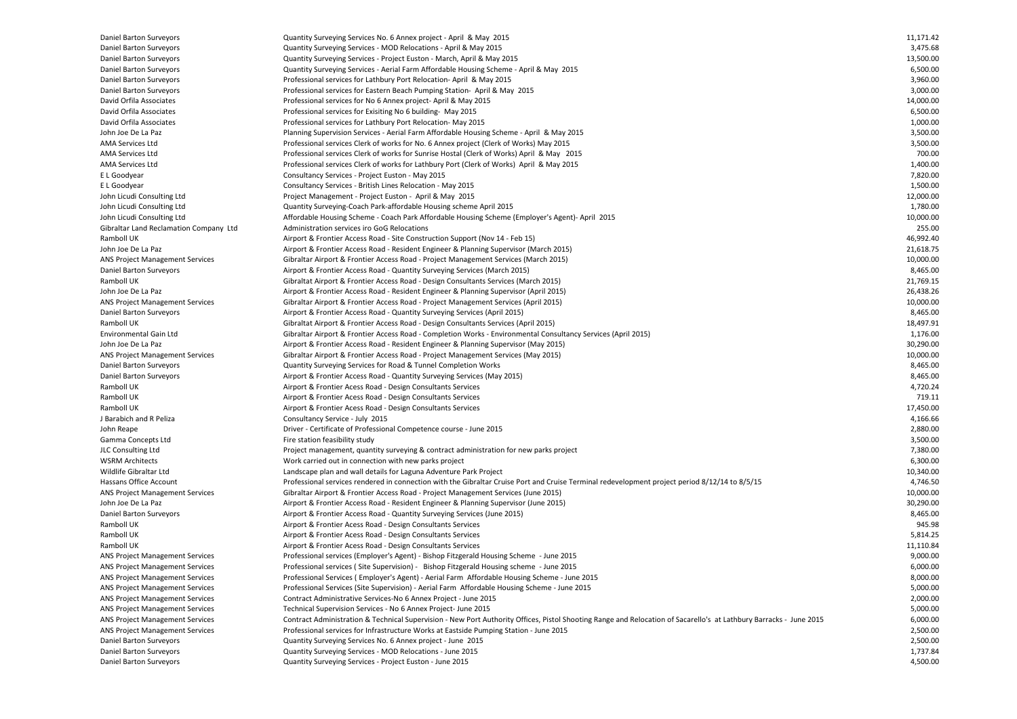| Daniel Barton Surveyors                | Quantity Surveying Services No. 6 Annex project - April & May 2015                                                                                                 | 11,171.42 |
|----------------------------------------|--------------------------------------------------------------------------------------------------------------------------------------------------------------------|-----------|
| Daniel Barton Surveyors                | Quantity Surveying Services - MOD Relocations - April & May 2015                                                                                                   | 3,475.68  |
| Daniel Barton Surveyors                | Quantity Surveying Services - Project Euston - March, April & May 2015                                                                                             | 13,500.00 |
| Daniel Barton Surveyors                | Quantity Surveying Services - Aerial Farm Affordable Housing Scheme - April & May 2015                                                                             | 6,500.00  |
| Daniel Barton Surveyors                | Professional services for Lathbury Port Relocation-April & May 2015                                                                                                | 3,960.00  |
| Daniel Barton Surveyors                | Professional services for Eastern Beach Pumping Station- April & May 2015                                                                                          | 3,000.00  |
| David Orfila Associates                | Professional services for No 6 Annex project- April & May 2015                                                                                                     | 14,000.00 |
| David Orfila Associates                | Professional services for Exisiting No 6 building-May 2015                                                                                                         | 6,500.00  |
| David Orfila Associates                | Professional services for Lathbury Port Relocation- May 2015                                                                                                       | 1,000.00  |
| John Joe De La Paz                     | Planning Supervision Services - Aerial Farm Affordable Housing Scheme - April & May 2015                                                                           | 3,500.00  |
| AMA Services Ltd                       |                                                                                                                                                                    | 3,500.00  |
|                                        | Professional services Clerk of works for No. 6 Annex project (Clerk of Works) May 2015                                                                             |           |
| AMA Services Ltd                       | Professional services Clerk of works for Sunrise Hostal (Clerk of Works) April & May 2015                                                                          | 700.00    |
| AMA Services Ltd                       | Professional services Clerk of works for Lathbury Port (Clerk of Works) April & May 2015                                                                           | 1,400.00  |
| E L Goodyear                           | Consultancy Services - Project Euston - May 2015                                                                                                                   | 7,820.00  |
| E L Goodyear                           | Consultancy Services - British Lines Relocation - May 2015                                                                                                         | 1,500.00  |
| John Licudi Consulting Ltd             | Project Management - Project Euston - April & May 2015                                                                                                             | 12,000.00 |
| John Licudi Consulting Ltd             | Quantity Surveying-Coach Park-affordable Housing scheme April 2015                                                                                                 | 1,780.00  |
| John Licudi Consulting Ltd             | Affordable Housing Scheme - Coach Park Affordable Housing Scheme (Employer's Agent)- April 2015                                                                    | 10,000.00 |
| Gibraltar Land Reclamation Company Ltd | Administration services iro GoG Relocations                                                                                                                        | 255.00    |
| Ramboll UK                             | Airport & Frontier Access Road - Site Construction Support (Nov 14 - Feb 15)                                                                                       | 46,992.40 |
| John Joe De La Paz                     | Airport & Frontier Access Road - Resident Engineer & Planning Supervisor (March 2015)                                                                              | 21,618.75 |
| ANS Project Management Services        | Gibraltar Airport & Frontier Access Road - Project Management Services (March 2015)                                                                                | 10,000.00 |
| Daniel Barton Surveyors                | Airport & Frontier Access Road - Quantity Surveying Services (March 2015)                                                                                          | 8,465.00  |
| Ramboll UK                             | Gibraltat Airport & Frontier Access Road - Design Consultants Services (March 2015)                                                                                | 21,769.15 |
| John Joe De La Paz                     | Airport & Frontier Access Road - Resident Engineer & Planning Supervisor (April 2015)                                                                              | 26,438.26 |
|                                        |                                                                                                                                                                    | 10,000.00 |
| <b>ANS Project Management Services</b> | Gibraltar Airport & Frontier Access Road - Project Management Services (April 2015)                                                                                |           |
| Daniel Barton Surveyors                | Airport & Frontier Access Road - Quantity Surveying Services (April 2015)                                                                                          | 8,465.00  |
| Ramboll UK                             | Gibraltat Airport & Frontier Access Road - Design Consultants Services (April 2015)                                                                                | 18,497.91 |
| Environmental Gain Ltd                 | Gibraltar Airport & Frontier Access Road - Completion Works - Environmental Consultancy Services (April 2015)                                                      | 1,176.00  |
| John Joe De La Paz                     | Airport & Frontier Access Road - Resident Engineer & Planning Supervisor (May 2015)                                                                                | 30,290.00 |
| <b>ANS Project Management Services</b> | Gibraltar Airport & Frontier Access Road - Project Management Services (May 2015)                                                                                  | 10,000.00 |
| Daniel Barton Surveyors                | Quantity Surveying Services for Road & Tunnel Completion Works                                                                                                     | 8,465.00  |
| Daniel Barton Surveyors                | Airport & Frontier Access Road - Quantity Surveying Services (May 2015)                                                                                            | 8,465.00  |
| Ramboll UK                             | Airport & Frontier Acess Road - Design Consultants Services                                                                                                        | 4,720.24  |
| Ramboll UK                             | Airport & Frontier Acess Road - Design Consultants Services                                                                                                        | 719.11    |
| Ramboll UK                             | Airport & Frontier Acess Road - Design Consultants Services                                                                                                        | 17,450.00 |
| J Barabich and R Peliza                | Consultancy Service - July 2015                                                                                                                                    | 4,166.66  |
| John Reape                             | Driver - Certificate of Professional Competence course - June 2015                                                                                                 | 2,880.00  |
| Gamma Concepts Ltd                     | Fire station feasibility study                                                                                                                                     | 3,500.00  |
| JLC Consulting Ltd                     | Project management, quantity surveying & contract administration for new parks project                                                                             | 7,380.00  |
| <b>WSRM Architects</b>                 | Work carried out in connection with new parks project                                                                                                              | 6,300.00  |
|                                        |                                                                                                                                                                    |           |
| Wildlife Gibraltar Ltd                 | Landscape plan and wall details for Laguna Adventure Park Project                                                                                                  | 10,340.00 |
| Hassans Office Account                 | Professional services rendered in connection with the Gibraltar Cruise Port and Cruise Terminal redevelopment project period 8/12/14 to 8/5/15                     | 4,746.50  |
| <b>ANS Project Management Services</b> | Gibraltar Airport & Frontier Access Road - Project Management Services (June 2015)                                                                                 | 10,000.00 |
| John Joe De La Paz                     | Airport & Frontier Access Road - Resident Engineer & Planning Supervisor (June 2015)                                                                               | 30,290.00 |
| Daniel Barton Surveyors                | Airport & Frontier Access Road - Quantity Surveying Services (June 2015)                                                                                           | 8,465.00  |
| Ramboll UK                             | Airport & Frontier Acess Road - Design Consultants Services                                                                                                        | 945.98    |
| Ramboll UK                             | Airport & Frontier Acess Road - Design Consultants Services                                                                                                        | 5,814.25  |
| Ramboll UK                             | Airport & Frontier Acess Road - Design Consultants Services                                                                                                        | 11,110.84 |
| ANS Project Management Services        | Professional services (Employer's Agent) - Bishop Fitzgerald Housing Scheme - June 2015                                                                            | 9,000.00  |
| <b>ANS Project Management Services</b> | Professional services (Site Supervision) - Bishop Fitzgerald Housing scheme - June 2015                                                                            | 6,000.00  |
| <b>ANS Project Management Services</b> | Professional Services (Employer's Agent) - Aerial Farm Affordable Housing Scheme - June 2015                                                                       | 8,000.00  |
| <b>ANS Project Management Services</b> | Professional Services (Site Supervision) - Aerial Farm Affordable Housing Scheme - June 2015                                                                       | 5,000.00  |
| <b>ANS Project Management Services</b> | Contract Administrative Services-No 6 Annex Project - June 2015                                                                                                    | 2,000.00  |
|                                        |                                                                                                                                                                    | 5,000.00  |
| <b>ANS Project Management Services</b> | Technical Supervision Services - No 6 Annex Project- June 2015                                                                                                     |           |
| <b>ANS Project Management Services</b> | Contract Administration & Technical Supervision - New Port Authority Offices, Pistol Shooting Range and Relocation of Sacarello's at Lathbury Barracks - June 2015 | 6,000.00  |
| <b>ANS Project Management Services</b> | Professional services for Infrastructure Works at Eastside Pumping Station - June 2015                                                                             | 2,500.00  |
| Daniel Barton Surveyors                | Quantity Surveying Services No. 6 Annex project - June 2015                                                                                                        | 2,500.00  |
| Daniel Barton Surveyors                | Quantity Surveying Services - MOD Relocations - June 2015                                                                                                          | 1,737.84  |
| Daniel Barton Surveyors                | Quantity Surveying Services - Project Euston - June 2015                                                                                                           | 4,500.00  |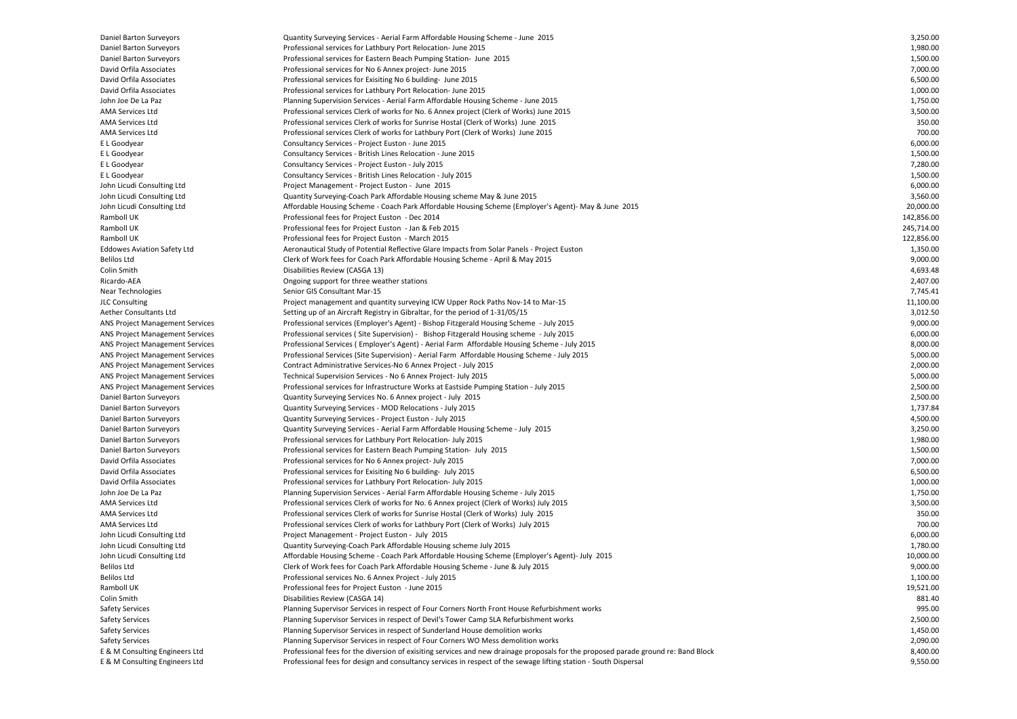| Daniel Barton Surveyors                | Quantity Surveying Services - Aerial Farm Affordable Housing Scheme - June 2015                                                    | 3,250.00   |
|----------------------------------------|------------------------------------------------------------------------------------------------------------------------------------|------------|
| Daniel Barton Surveyors                | Professional services for Lathbury Port Relocation- June 2015                                                                      | 1,980.00   |
| Daniel Barton Surveyors                | Professional services for Eastern Beach Pumping Station- June 2015                                                                 | 1,500.00   |
| David Orfila Associates                | Professional services for No 6 Annex project- June 2015                                                                            | 7,000.00   |
| David Orfila Associates                | Professional services for Exisiting No 6 building- June 2015                                                                       | 6,500.00   |
| David Orfila Associates                | Professional services for Lathbury Port Relocation- June 2015                                                                      | 1,000.00   |
| John Joe De La Paz                     | Planning Supervision Services - Aerial Farm Affordable Housing Scheme - June 2015                                                  | 1,750.00   |
| AMA Services Ltd                       | Professional services Clerk of works for No. 6 Annex project (Clerk of Works) June 2015                                            | 3,500.00   |
| <b>AMA Services Ltd</b>                | Professional services Clerk of works for Sunrise Hostal (Clerk of Works) June 2015                                                 | 350.00     |
| AMA Services Ltd                       | Professional services Clerk of works for Lathbury Port (Clerk of Works) June 2015                                                  | 700.00     |
| E L Goodyear                           | Consultancy Services - Project Euston - June 2015                                                                                  | 6,000.00   |
| E L Goodyear                           | Consultancy Services - British Lines Relocation - June 2015                                                                        | 1,500.00   |
| E L Goodyear                           |                                                                                                                                    | 7,280.00   |
|                                        | Consultancy Services - Project Euston - July 2015                                                                                  |            |
| E L Goodyear                           | Consultancy Services - British Lines Relocation - July 2015                                                                        | 1,500.00   |
| John Licudi Consulting Ltd             | Project Management - Project Euston - June 2015                                                                                    | 6,000.00   |
| John Licudi Consulting Ltd             | Quantity Surveying-Coach Park Affordable Housing scheme May & June 2015                                                            | 3,560.00   |
| John Licudi Consulting Ltd             | Affordable Housing Scheme - Coach Park Affordable Housing Scheme (Employer's Agent)- May & June 2015                               | 20,000.00  |
| Ramboll UK                             | Professional fees for Project Euston - Dec 2014                                                                                    | 142,856.00 |
| Ramboll UK                             | Professional fees for Project Euston - Jan & Feb 2015                                                                              | 245,714.00 |
| Ramboll UK                             | Professional fees for Project Euston - March 2015                                                                                  | 122,856.00 |
| <b>Eddowes Aviation Safety Ltd</b>     | Aeronautical Study of Potential Reflective Glare Impacts from Solar Panels - Project Euston                                        | 1,350.00   |
| Belilos Ltd                            | Clerk of Work fees for Coach Park Affordable Housing Scheme - April & May 2015                                                     | 9,000.00   |
| Colin Smith                            | Disabilities Review (CASGA 13)                                                                                                     | 4,693.48   |
| Ricardo-AEA                            | Ongoing support for three weather stations                                                                                         | 2,407.00   |
| Near Technologies                      | Senior GIS Consultant Mar-15                                                                                                       | 7,745.41   |
| <b>JLC Consulting</b>                  | Project management and quantity surveying ICW Upper Rock Paths Nov-14 to Mar-15                                                    | 11,100.00  |
| Aether Consultants Ltd                 | Setting up of an Aircraft Registry in Gibraltar, for the period of 1-31/05/15                                                      | 3,012.50   |
| <b>ANS Project Management Services</b> | Professional services (Employer's Agent) - Bishop Fitzgerald Housing Scheme - July 2015                                            | 9,000.00   |
| ANS Project Management Services        | Professional services (Site Supervision) - Bishop Fitzgerald Housing scheme - July 2015                                            | 6,000.00   |
| ANS Project Management Services        | Professional Services (Employer's Agent) - Aerial Farm Affordable Housing Scheme - July 2015                                       | 8,000.00   |
| <b>ANS Project Management Services</b> | Professional Services (Site Supervision) - Aerial Farm Affordable Housing Scheme - July 2015                                       | 5,000.00   |
| ANS Project Management Services        | Contract Administrative Services-No 6 Annex Project - July 2015                                                                    | 2,000.00   |
| ANS Project Management Services        | Technical Supervision Services - No 6 Annex Project- July 2015                                                                     | 5,000.00   |
| ANS Project Management Services        | Professional services for Infrastructure Works at Eastside Pumping Station - July 2015                                             | 2,500.00   |
|                                        |                                                                                                                                    | 2,500.00   |
| Daniel Barton Surveyors                | Quantity Surveying Services No. 6 Annex project - July 2015                                                                        |            |
| Daniel Barton Surveyors                | Quantity Surveying Services - MOD Relocations - July 2015                                                                          | 1,737.84   |
| Daniel Barton Surveyors                | Quantity Surveying Services - Project Euston - July 2015                                                                           | 4,500.00   |
| Daniel Barton Surveyors                | Quantity Surveying Services - Aerial Farm Affordable Housing Scheme - July 2015                                                    | 3,250.00   |
| Daniel Barton Surveyors                | Professional services for Lathbury Port Relocation- July 2015                                                                      | 1,980.00   |
| Daniel Barton Surveyors                | Professional services for Eastern Beach Pumping Station- July 2015                                                                 | 1,500.00   |
| David Orfila Associates                | Professional services for No 6 Annex project- July 2015                                                                            | 7,000.00   |
| David Orfila Associates                | Professional services for Exisiting No 6 building- July 2015                                                                       | 6,500.00   |
| David Orfila Associates                | Professional services for Lathbury Port Relocation- July 2015                                                                      | 1,000.00   |
| John Joe De La Paz                     | Planning Supervision Services - Aerial Farm Affordable Housing Scheme - July 2015                                                  | 1,750.00   |
| AMA Services Ltd                       | Professional services Clerk of works for No. 6 Annex project (Clerk of Works) July 2015                                            | 3,500.00   |
| AMA Services Ltd                       | Professional services Clerk of works for Sunrise Hostal (Clerk of Works) July 2015                                                 | 350.00     |
| AMA Services Ltd                       | Professional services Clerk of works for Lathbury Port (Clerk of Works) July 2015                                                  | 700.00     |
| John Licudi Consulting Ltd             | Project Management - Project Euston - July 2015                                                                                    | 6,000.00   |
| John Licudi Consulting Ltd             | Quantity Surveying-Coach Park Affordable Housing scheme July 2015                                                                  | 1,780.00   |
| John Licudi Consulting Ltd             | Affordable Housing Scheme - Coach Park Affordable Housing Scheme (Employer's Agent)- July 2015                                     | 10,000.00  |
| Belilos Ltd                            | Clerk of Work fees for Coach Park Affordable Housing Scheme - June & July 2015                                                     | 9,000.00   |
| Belilos Ltd                            | Professional services No. 6 Annex Project - July 2015                                                                              | 1,100.00   |
| Ramboll UK                             | Professional fees for Project Euston - June 2015                                                                                   | 19,521.00  |
| Colin Smith                            | Disabilities Review (CASGA 14)                                                                                                     | 881.40     |
| <b>Safety Services</b>                 | Planning Supervisor Services in respect of Four Corners North Front House Refurbishment works                                      | 995.00     |
| <b>Safety Services</b>                 | Planning Supervisor Services in respect of Devil's Tower Camp SLA Refurbishment works                                              | 2,500.00   |
| <b>Safety Services</b>                 |                                                                                                                                    | 1,450.00   |
|                                        | Planning Supervisor Services in respect of Sunderland House demolition works                                                       | 2,090.00   |
| <b>Safety Services</b>                 | Planning Supervisor Services in respect of Four Corners WO Mess demolition works                                                   |            |
| E & M Consulting Engineers Ltd         | Professional fees for the diversion of exisiting services and new drainage proposals for the proposed parade ground re: Band Block | 8,400.00   |
| E & M Consulting Engineers Ltd         | Professional fees for design and consultancy services in respect of the sewage lifting station - South Dispersal                   | 9,550.00   |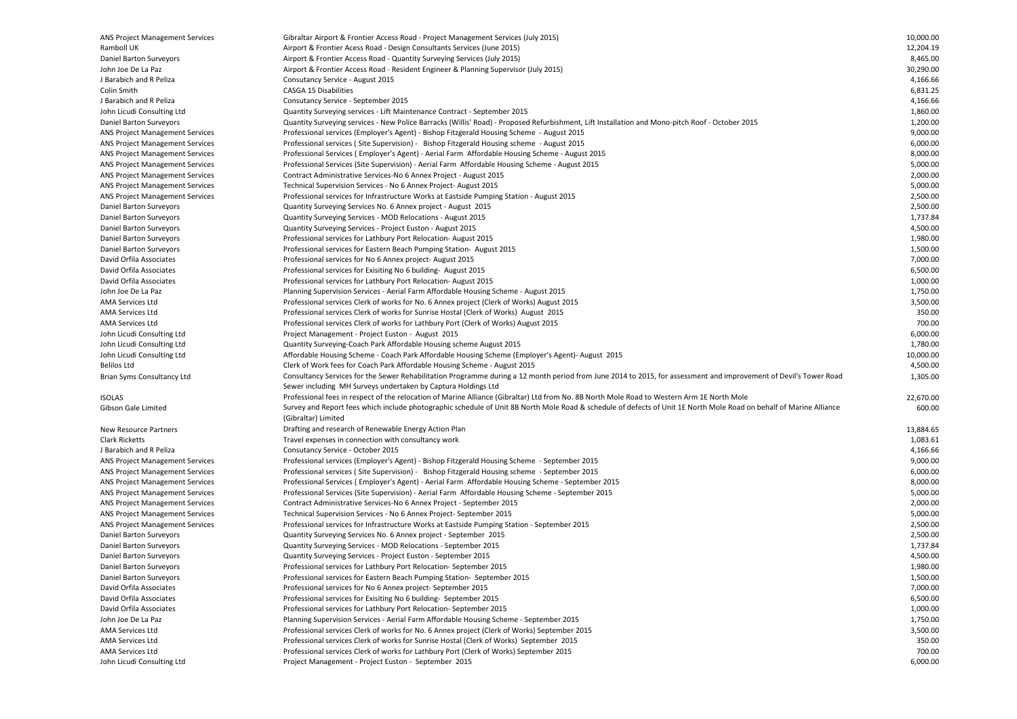| <b>ANS Project Management Services</b> | Gibraltar Airport & Frontier Access Road - Project Management Services (July 2015)                                                                                  | 10,000.00 |
|----------------------------------------|---------------------------------------------------------------------------------------------------------------------------------------------------------------------|-----------|
| Ramboll UK                             | Airport & Frontier Acess Road - Design Consultants Services (June 2015)                                                                                             | 12,204.19 |
| Daniel Barton Surveyors                | Airport & Frontier Access Road - Quantity Surveying Services (July 2015)                                                                                            | 8,465.00  |
| John Joe De La Paz                     | Airport & Frontier Access Road - Resident Engineer & Planning Supervisor (July 2015)                                                                                | 30,290.00 |
| J Barabich and R Peliza                | Consutancy Service - August 2015                                                                                                                                    | 4,166.66  |
| Colin Smith                            | CASGA 15 Disabilities                                                                                                                                               | 6,831.25  |
| J Barabich and R Peliza                | Consutancy Service - September 2015                                                                                                                                 | 4,166.66  |
| John Licudi Consulting Ltd             | Quantity Surveying services - Lift Maintenance Contract - September 2015                                                                                            | 1,860.00  |
| Daniel Barton Surveyors                |                                                                                                                                                                     | 1,200.00  |
|                                        | Quantity Surveying services - New Police Barracks (Willis' Road) - Proposed Refurbishment, Lift Installation and Mono-pitch Roof - October 2015                     |           |
| <b>ANS Project Management Services</b> | Professional services (Employer's Agent) - Bishop Fitzgerald Housing Scheme - August 2015                                                                           | 9,000.00  |
| ANS Project Management Services        | Professional services (Site Supervision) - Bishop Fitzgerald Housing scheme - August 2015                                                                           | 6,000.00  |
| <b>ANS Project Management Services</b> | Professional Services (Employer's Agent) - Aerial Farm Affordable Housing Scheme - August 2015                                                                      | 8,000.00  |
| ANS Project Management Services        | Professional Services (Site Supervision) - Aerial Farm Affordable Housing Scheme - August 2015                                                                      | 5,000.00  |
| <b>ANS Project Management Services</b> | Contract Administrative Services-No 6 Annex Project - August 2015                                                                                                   | 2,000.00  |
| ANS Project Management Services        | Technical Supervision Services - No 6 Annex Project-August 2015                                                                                                     | 5,000.00  |
| <b>ANS Project Management Services</b> | Professional services for Infrastructure Works at Eastside Pumping Station - August 2015                                                                            | 2,500.00  |
| Daniel Barton Surveyors                | Quantity Surveying Services No. 6 Annex project - August 2015                                                                                                       | 2,500.00  |
| Daniel Barton Surveyors                | Quantity Surveying Services - MOD Relocations - August 2015                                                                                                         | 1,737.84  |
| Daniel Barton Surveyors                | Quantity Surveying Services - Project Euston - August 2015                                                                                                          | 4,500.00  |
| Daniel Barton Surveyors                | Professional services for Lathbury Port Relocation-August 2015                                                                                                      | 1,980.00  |
| Daniel Barton Surveyors                | Professional services for Eastern Beach Pumping Station- August 2015                                                                                                | 1,500.00  |
| David Orfila Associates                | Professional services for No 6 Annex project- August 2015                                                                                                           | 7,000.00  |
| David Orfila Associates                | Professional services for Exisiting No 6 building- August 2015                                                                                                      | 6,500.00  |
| David Orfila Associates                | Professional services for Lathbury Port Relocation-August 2015                                                                                                      | 1,000.00  |
| John Joe De La Paz                     | Planning Supervision Services - Aerial Farm Affordable Housing Scheme - August 2015                                                                                 | 1,750.00  |
| AMA Services Ltd                       | Professional services Clerk of works for No. 6 Annex project (Clerk of Works) August 2015                                                                           | 3,500.00  |
| AMA Services Ltd                       | Professional services Clerk of works for Sunrise Hostal (Clerk of Works) August 2015                                                                                | 350.00    |
| AMA Services Ltd                       |                                                                                                                                                                     | 700.00    |
|                                        | Professional services Clerk of works for Lathbury Port (Clerk of Works) August 2015                                                                                 |           |
| John Licudi Consulting Ltd             | Project Management - Project Euston - August 2015                                                                                                                   | 6,000.00  |
| John Licudi Consulting Ltd             | Quantity Surveying-Coach Park Affordable Housing scheme August 2015                                                                                                 | 1,780.00  |
| John Licudi Consulting Ltd             | Affordable Housing Scheme - Coach Park Affordable Housing Scheme (Employer's Agent)- August 2015                                                                    | 10,000.00 |
| Belilos Ltd                            | Clerk of Work fees for Coach Park Affordable Housing Scheme - August 2015                                                                                           | 4,500.00  |
| Brian Syms Consultancy Ltd             | Consultancy Services for the Sewer Rehabilitation Programme during a 12 month period from June 2014 to 2015, for assessment and improvement of Devil's Tower Road   | 1,305.00  |
|                                        | Sewer including MH Surveys undertaken by Captura Holdings Ltd                                                                                                       |           |
| <b>ISOLAS</b>                          | Professional fees in respect of the relocation of Marine Alliance (Gibraltar) Ltd from No. 8B North Mole Road to Western Arm 1E North Mole                          | 22,670.00 |
| Gibson Gale Limited                    | Survey and Report fees which include photographic schedule of Unit 8B North Mole Road & schedule of defects of Unit 1E North Mole Road on behalf of Marine Alliance | 600.00    |
|                                        | (Gibraltar) Limited                                                                                                                                                 |           |
| New Resource Partners                  | Drafting and research of Renewable Energy Action Plan                                                                                                               | 13,884.65 |
| <b>Clark Ricketts</b>                  | Travel expenses in connection with consultancy work                                                                                                                 | 1,083.61  |
| J Barabich and R Peliza                | Consutancy Service - October 2015                                                                                                                                   | 4,166.66  |
| ANS Project Management Services        | Professional services (Employer's Agent) - Bishop Fitzgerald Housing Scheme - September 2015                                                                        | 9,000.00  |
| ANS Project Management Services        | Professional services (Site Supervision) - Bishop Fitzgerald Housing scheme - September 2015                                                                        | 6,000.00  |
| <b>ANS Project Management Services</b> | Professional Services (Employer's Agent) - Aerial Farm Affordable Housing Scheme - September 2015                                                                   | 8,000.00  |
| ANS Project Management Services        | Professional Services (Site Supervision) - Aerial Farm Affordable Housing Scheme - September 2015                                                                   | 5,000.00  |
| ANS Project Management Services        | Contract Administrative Services-No 6 Annex Project - September 2015                                                                                                | 2,000.00  |
| ANS Project Management Services        | Technical Supervision Services - No 6 Annex Project- September 2015                                                                                                 | 5,000.00  |
|                                        | Professional services for Infrastructure Works at Eastside Pumping Station - September 2015                                                                         | 2,500.00  |
| <b>ANS Project Management Services</b> |                                                                                                                                                                     |           |
| Daniel Barton Surveyors                | Quantity Surveying Services No. 6 Annex project - September 2015                                                                                                    | 2,500.00  |
| Daniel Barton Surveyors                | Quantity Surveying Services - MOD Relocations - September 2015                                                                                                      | 1,737.84  |
| Daniel Barton Surveyors                | Quantity Surveying Services - Project Euston - September 2015                                                                                                       | 4,500.00  |
| Daniel Barton Surveyors                | Professional services for Lathbury Port Relocation-September 2015                                                                                                   | 1,980.00  |
| Daniel Barton Surveyors                | Professional services for Eastern Beach Pumping Station- September 2015                                                                                             | 1,500.00  |
| David Orfila Associates                | Professional services for No 6 Annex project-September 2015                                                                                                         | 7,000.00  |
| David Orfila Associates                | Professional services for Exisiting No 6 building-September 2015                                                                                                    | 6,500.00  |
| David Orfila Associates                | Professional services for Lathbury Port Relocation-September 2015                                                                                                   | 1,000.00  |
| John Joe De La Paz                     | Planning Supervision Services - Aerial Farm Affordable Housing Scheme - September 2015                                                                              | 1,750.00  |
| AMA Services Ltd                       | Professional services Clerk of works for No. 6 Annex project (Clerk of Works) September 2015                                                                        | 3,500.00  |
| AMA Services Ltd                       | Professional services Clerk of works for Sunrise Hostal (Clerk of Works) September 2015                                                                             | 350.00    |
| AMA Services Ltd                       | Professional services Clerk of works for Lathbury Port (Clerk of Works) September 2015                                                                              | 700.00    |
| John Licudi Consulting Ltd             | Project Management - Project Euston - September 2015                                                                                                                | 6,000.00  |